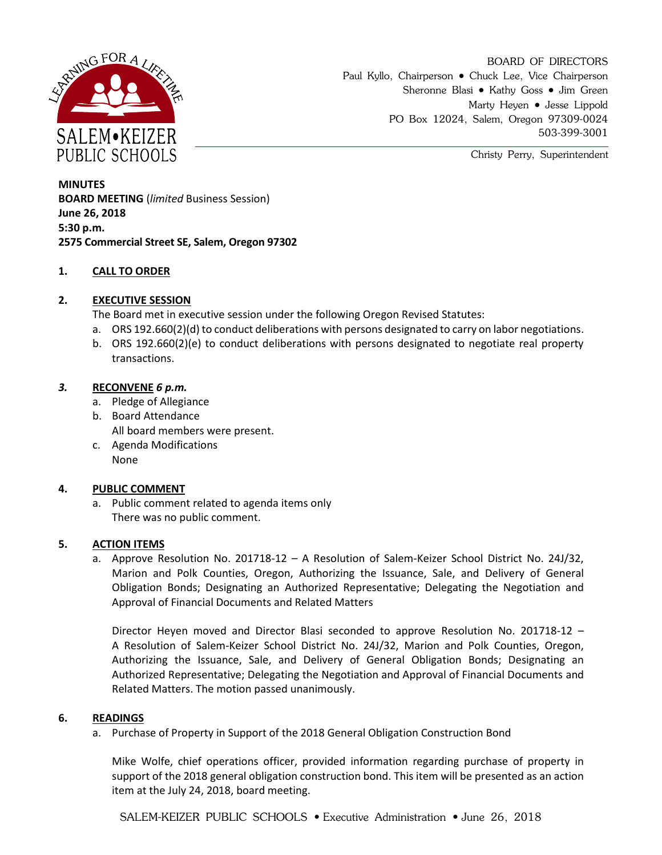

BOARD OF DIRECTORS Paul Kyllo, Chairperson • Chuck Lee, Vice Chairperson Sheronne Blasi • Kathy Goss • Jim Green Marty Heyen • Jesse Lippold PO Box 12024, Salem, Oregon 97309-0024 503-399-3001

Christy Perry, Superintendent

**MINUTES BOARD MEETING** (*limited* Business Session) **June 26, 2018 5:30 p.m. 2575 Commercial Street SE, Salem, Oregon 97302**

# **1. CALL TO ORDER**

# **2. EXECUTIVE SESSION**

The Board met in executive session under the following Oregon Revised Statutes:

- a. ORS 192.660(2)(d) to conduct deliberations with persons designated to carry on labor negotiations.
- b. ORS 192.660(2)(e) to conduct deliberations with persons designated to negotiate real property transactions.

# *3.* **RECONVENE** *6 p.m.*

- a. Pledge of Allegiance
- b. Board Attendance All board members were present.
- c. Agenda Modifications None

# **4. PUBLIC COMMENT**

a. Public comment related to agenda items only There was no public comment.

# **5. ACTION ITEMS**

a. Approve Resolution No. 201718-12 – A Resolution of Salem-Keizer School District No. 24J/32, Marion and Polk Counties, Oregon, Authorizing the Issuance, Sale, and Delivery of General Obligation Bonds; Designating an Authorized Representative; Delegating the Negotiation and Approval of Financial Documents and Related Matters

Director Heyen moved and Director Blasi seconded to approve Resolution No. 201718-12 – A Resolution of Salem-Keizer School District No. 24J/32, Marion and Polk Counties, Oregon, Authorizing the Issuance, Sale, and Delivery of General Obligation Bonds; Designating an Authorized Representative; Delegating the Negotiation and Approval of Financial Documents and Related Matters. The motion passed unanimously.

# **6. READINGS**

a. Purchase of Property in Support of the 2018 General Obligation Construction Bond

Mike Wolfe, chief operations officer, provided information regarding purchase of property in support of the 2018 general obligation construction bond. This item will be presented as an action item at the July 24, 2018, board meeting.